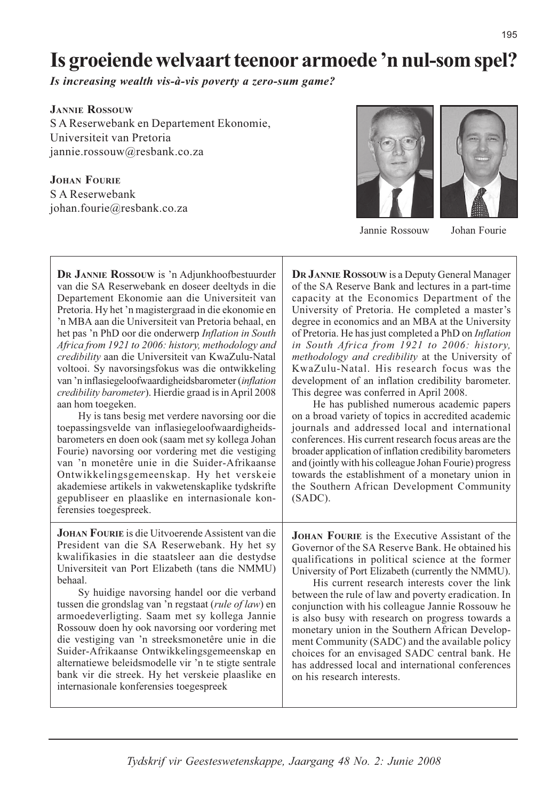# Is groeiende welvaart teenoor armoede 'n nul-som spel?

Is increasing wealth vis-à-vis poverty a zero-sum game?

**JANNIE ROSSOUW** S A Reserwebank en Departement Ekonomie, Universiteit van Pretoria jannie.rossouw@resbank.co.za

**JOHAN FOURIE** 

S A Reserwebank johan.fourie@resbank.co.za





Jannie Rossouw

Johan Fourie

DR JANNIE ROSSOUW is 'n Adjunkhoofbestuurder van die SA Reserwebank en doseer deeltyds in die Departement Ekonomie aan die Universiteit van Pretoria. Hy het 'n magistergraad in die ekonomie en 'n MBA aan die Universiteit van Pretoria behaal, en het pas 'n PhD oor die onderwerp Inflation in South Africa from 1921 to 2006: history, methodology and credibility aan die Universiteit van KwaZulu-Natal voltooi. Sy navorsingsfokus was die ontwikkeling van 'n inflasiegeloofwaardigheidsbarometer (inflation credibility barometer). Hierdie graad is in April 2008 aan hom toegeken.

Hy is tans besig met verdere navorsing oor die toepassingsvelde van inflasiegeloofwaardigheidsbarometers en doen ook (saam met sy kollega Johan Fourie) navorsing oor vordering met die vestiging van 'n monetêre unie in die Suider-Afrikaanse Ontwikkelingsgemeenskap. Hy het verskeie akademiese artikels in vakwetenskaplike tydskrifte gepubliseer en plaaslike en internasionale konferensies toegespreek.

**JOHAN FOURIE** is die Uitvoerende Assistent van die President van die SA Reserwebank. Hy het sy kwalifikasies in die staatsleer aan die destydse Universiteit van Port Elizabeth (tans die NMMU) hehaal.

Sy huidige navorsing handel oor die verband tussen die grondslag van 'n regstaat (rule of law) en armoedeverligting. Saam met sy kollega Jannie Rossouw doen hy ook navorsing oor vordering met die vestiging van 'n streeksmonetêre unie in die Suider-Afrikaanse Ontwikkelingsgemeenskap en alternatiewe beleidsmodelle vir 'n te stigte sentrale bank vir die streek. Hy het verskeie plaaslike en internasionale konferensies toegespreek

DR JANNIE ROSSOUW is a Deputy General Manager of the SA Reserve Bank and lectures in a part-time capacity at the Economics Department of the University of Pretoria. He completed a master's degree in economics and an MBA at the University of Pretoria. He has just completed a PhD on Inflation in South Africa from 1921 to 2006: history, methodology and credibility at the University of KwaZulu-Natal. His research focus was the development of an inflation credibility barometer. This degree was conferred in April 2008.

He has published numerous academic papers on a broad variety of topics in accredited academic iournals and addressed local and international conferences. His current research focus areas are the broader application of inflation credibility barometers and (jointly with his colleague Johan Fourie) progress towards the establishment of a monetary union in the Southern African Development Community  $(SADC)$ .

**JOHAN FOURIE** is the Executive Assistant of the Governor of the SA Reserve Bank. He obtained his qualifications in political science at the former University of Port Elizabeth (currently the NMMU).

His current research interests cover the link between the rule of law and poverty eradication. In conjunction with his colleague Jannie Rossouw he is also busy with research on progress towards a monetary union in the Southern African Development Community (SADC) and the available policy choices for an envisaged SADC central bank. He has addressed local and international conferences on his research interests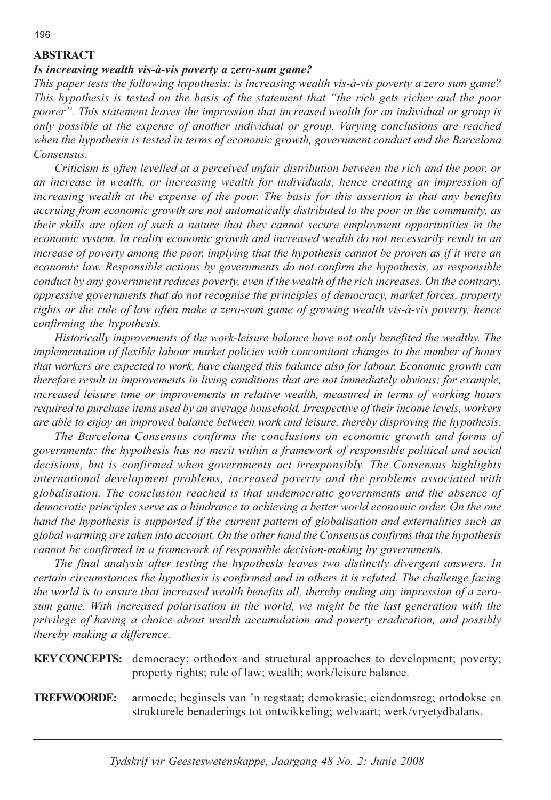## **ABSTRACT**

### Is increasing wealth vis-à-vis poverty a zero-sum game?

This paper tests the following hypothesis: is increasing wealth vis-à-vis poverty a zero sum game? This hypothesis is tested on the basis of the statement that "the rich gets richer and the poor poorer". This statement leaves the impression that increased wealth for an individual or group is only possible at the expense of another individual or group. Varying conclusions are reached when the hypothesis is tested in terms of economic growth, government conduct and the Barcelona Consensus.

Criticism is often levelled at a perceived unfair distribution between the rich and the poor, or an increase in wealth, or increasing wealth for individuals, hence creating an impression of increasing wealth at the expense of the poor. The basis for this assertion is that any benefits accruing from economic growth are not automatically distributed to the poor in the community, as their skills are often of such a nature that they cannot secure employment opportunities in the economic system. In reality economic growth and increased wealth do not necessarily result in an increase of poverty among the poor, implying that the hypothesis cannot be proven as if it were an economic law. Responsible actions by governments do not confirm the hypothesis, as responsible conduct by any government reduces poverty, even if the wealth of the rich increases. On the contrary, oppressive governments that do not recognise the principles of democracy, market forces, property rights or the rule of law often make a zero-sum game of growing wealth vis-à-vis poverty, hence confirming the hypothesis.

Historically improvements of the work-leisure balance have not only benefited the wealthy. The implementation of flexible labour market policies with concomitant changes to the number of hours that workers are expected to work, have changed this balance also for labour. Economic growth can therefore result in improvements in living conditions that are not immediately obvious; for example, increased leisure time or improvements in relative wealth, measured in terms of working hours required to purchase items used by an average household. Irrespective of their income levels, workers are able to enjoy an improved balance between work and leisure, thereby disproving the hypothesis.

The Barcelona Consensus confirms the conclusions on economic growth and forms of governments: the hypothesis has no merit within a framework of responsible political and social decisions, but is confirmed when governments act irresponsibly. The Consensus highlights international development problems, increased poverty and the problems associated with globalisation. The conclusion reached is that undemocratic governments and the absence of democratic principles serve as a hindrance to achieving a better world economic order. On the one hand the hypothesis is supported if the current pattern of globalisation and externalities such as global warming are taken into account. On the other hand the Consensus confirms that the hypothesis cannot be confirmed in a framework of responsible decision-making by governments.

The final analysis after testing the hypothesis leaves two distinctly divergent answers. In certain circumstances the hypothesis is confirmed and in others it is refuted. The challenge facing the world is to ensure that increased wealth benefits all, thereby ending any impression of a zerosum game. With increased polarisation in the world, we might be the last generation with the privilege of having a choice about wealth accumulation and poverty eradication, and possibly thereby making a difference.

| <b>KEY CONCEPTS:</b> democracy; orthodox and structural approaches to development; poverty; |
|---------------------------------------------------------------------------------------------|
| property rights; rule of law; wealth; work/leisure balance.                                 |

armoede; beginsels van 'n regstaat; demokrasie; eiendomsreg; ortodokse en **TREFWOORDE:** strukturele benaderings tot ontwikkeling; welvaart; werk/vryetydbalans.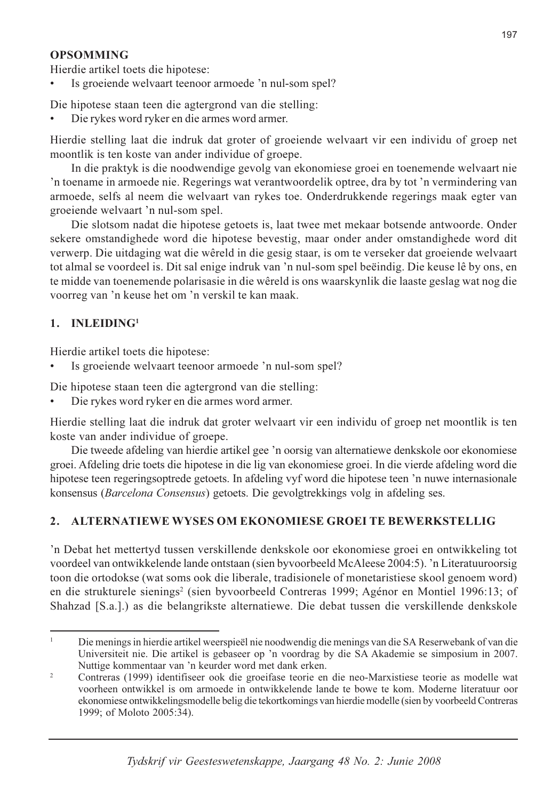# **OPSOMMING**

Hierdie artikel toets die hipotese:

Is groeiende welvaart teenoor armoede 'n nul-som spel?

Die hipotese staan teen die agtergrond van die stelling:

Die rykes word ryker en die armes word armer.

Hierdie stelling laat die indruk dat groter of groeiende welvaart vir een individu of groep net moontlik is ten koste van ander individue of groepe.

In die praktyk is die noodwendige gevolg van ekonomiese groei en toenemende welvaart nie 'n toename in armoede nie. Regerings wat verantwoordelik optree, dra by tot 'n vermindering van armoede, selfs al neem die welvaart van rykes toe. Onderdrukkende regerings maak egter van groeiende welvaart 'n nul-som spel.

Die slotsom nadat die hipotese getoets is, laat twee met mekaar botsende antwoorde. Onder sekere omstandighede word die hipotese bevestig, maar onder ander omstandighede word dit verwerp. Die uitdaging wat die wêreld in die gesig staar, is om te verseker dat groeiende welvaart tot almal se voordeel is. Dit sal enige indruk van 'n nul-som spel beëindig. Die keuse lê by ons, en te midde van toenemende polarisasie in die wêreld is ons waarskynlik die laaste geslag wat nog die voorreg van 'n keuse het om 'n verskil te kan maak.

#### $INLEIDING<sup>1</sup>$  $1 \quad$

Hierdie artikel toets die hipotese:

Is groeiende welvaart teenoor armoede 'n nul-som spel?

Die hipotese staan teen die agtergrond van die stelling:

Die rykes word ryker en die armes word armer.

Hierdie stelling laat die indruk dat groter welvaart vir een individu of groep net moontlik is ten koste van ander individue of groepe.

Die tweede afdeling van hierdie artikel gee 'n oorsig van alternatiewe denkskole oor ekonomiese groei. Afdeling drie toets die hipotese in die lig van ekonomiese groei. In die vierde afdeling word die hipotese teen regeringsoptrede getoets. In afdeling vyf word die hipotese teen 'n nuwe internasionale konsensus (Barcelona Consensus) getoets. Die gevolgtrekkings volg in afdeling ses.

#### $2.$ ALTERNATIEWE WYSES OM EKONOMIESE GROEI TE BEWERKSTELLIG

'n Debat het mettertyd tussen verskillende denkskole oor ekonomiese groei en ontwikkeling tot voordeel van ontwikkelende lande ontstaan (sien byvoorbeeld McAleese 2004:5). 'n Literatuuroorsig toon die ortodokse (wat soms ook die liberale, tradisionele of monetaristiese skool genoem word) en die strukturele sienings<sup>2</sup> (sien byvoorbeeld Contreras 1999; Agénor en Montiel 1996:13; of Shahzad [S.a.].) as die belangrikste alternatiewe. Die debat tussen die verskillende denkskole

Die menings in hierdie artikel weerspieël nie noodwendig die menings van die SA Reserwebank of van die Universiteit nie. Die artikel is gebaseer op 'n voordrag by die SA Akademie se simposium in 2007. Nuttige kommentaar van 'n keurder word met dank erken.

 $\overline{z}$ Contreras (1999) identifiseer ook die groeifase teorie en die neo-Marxistiese teorie as modelle wat voorheen ontwikkel is om armoede in ontwikkelende lande te bowe te kom. Moderne literatuur oor ekonomiese ontwikkelingsmodelle belig die tekortkomings van hierdie modelle (sien by voorbeeld Contreras 1999; of Moloto 2005:34).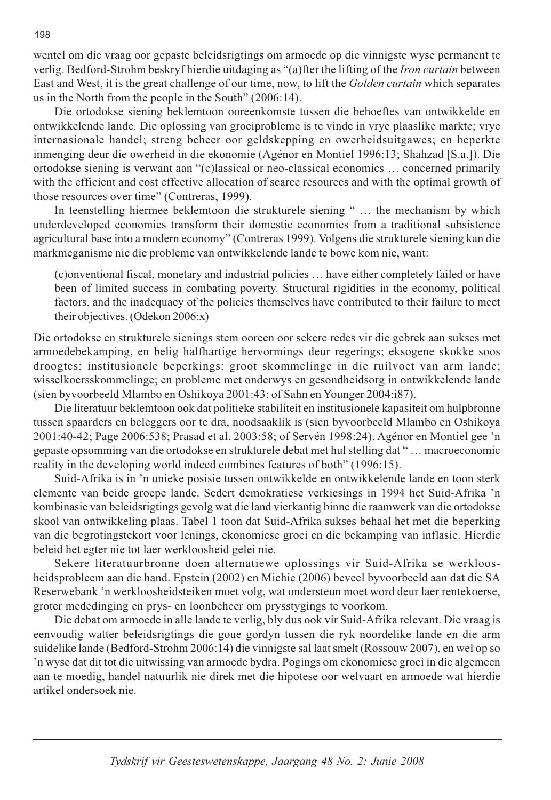wentel om die vraag oor gepaste beleidsrigtings om armoede op die vinnigste wyse permanent te verlig. Bedford-Strohm beskryf hierdie uitdaging as "(a)fter the lifting of the *Iron curtain* between East and West, it is the great challenge of our time, now, to lift the Golden curtain which separates us in the North from the people in the South"  $(2006:14)$ .

Die ortodokse siening beklemtoon ooreenkomste tussen die behoeftes van ontwikkelde en ontwikkelende lande. Die oplossing van groeiprobleme is te vinde in vrye plaaslike markte; vrye internasionale handel; streng beheer oor geldskepping en owerheidsuitgawes; en beperkte inmenging deur die owerheid in die ekonomie (Agénor en Montiel 1996:13; Shahzad [S.a.]). Die ortodokse siening is verwant aan "(c)lassical or neo-classical economics ... concerned primarily with the efficient and cost effective allocation of scarce resources and with the optimal growth of those resources over time" (Contreras, 1999).

In teenstelling hiermee beklemtoon die strukturele siening "... the mechanism by which underdeveloped economies transform their domestic economies from a traditional subsistence agricultural base into a modern economy" (Contreras 1999). Volgens die strukturele siening kan die markmeganisme nie die probleme van ontwikkelende lande te bowe kom nie, want:

(c)onventional fiscal, monetary and industrial policies ... have either completely failed or have been of limited success in combating poverty. Structural rigidities in the economy, political factors, and the inadequacy of the policies themselves have contributed to their failure to meet their objectives. (Odekon 2006:x)

Die ortodokse en strukturele sienings stem ooreen oor sekere redes vir die gebrek aan sukses met armoedebekamping, en belig halfhartige hervormings deur regerings; eksogene skokke soos droogtes; institusionele beperkings; groot skommelinge in die ruilvoet van arm lande; wisselkoersskommelinge; en probleme met onderwys en gesondheidsorg in ontwikkelende lande (sien byvoorbeeld Mlambo en Oshikoya 2001:43; of Sahn en Younger 2004:187).

Die literatuur beklemtoon ook dat politieke stabiliteit en institusionele kapasiteit om hulpbronne tussen spaarders en beleggers oor te dra, noodsaaklik is (sien byvoorbeeld Mlambo en Oshikoya 2001:40-42; Page 2006:538; Prasad et al. 2003:58; of Servén 1998:24). Agénor en Montiel gee 'n gepaste opsomming van die ortodokse en strukturele debat met hul stelling dat "... macroeconomic reality in the developing world indeed combines features of both" (1996:15).

Suid-Afrika is in 'n unieke posisie tussen ontwikkelde en ontwikkelende lande en toon sterk elemente van beide groepe lande. Sedert demokratiese verkiesings in 1994 het Suid-Afrika 'n kombinasie van beleidsrigtings gevolg wat die land vierkantig binne die raamwerk van die ortodokse skool van ontwikkeling plaas. Tabel 1 toon dat Suid-Afrika sukses behaal het met die beperking van die begrotingstekort voor lenings, ekonomiese groei en die bekamping van inflasie. Hierdie beleid het egter nie tot laer werkloosheid gelei nie.

Sekere literatuurbronne doen alternatiewe oplossings vir Suid-Afrika se werkloosheidsprobleem aan die hand. Epstein (2002) en Michie (2006) beveel byvoorbeeld aan dat die SA Reserwebank 'n werkloosheidsteiken moet volg, wat ondersteun moet word deur laer rentekoerse, groter mededinging en prys- en loonbeheer om prysstygings te voorkom.

Die debat om armoede in alle lande te verlig, bly dus ook vir Suid-Afrika relevant. Die vraag is eenvoudig watter beleidsrigtings die goue gordyn tussen die ryk noordelike lande en die arm suidelike lande (Bedford-Strohm 2006:14) die vinnigste sal laat smelt (Rossouw 2007), en wel op so 'n wyse dat dit tot die uitwissing van armoede bydra. Pogings om ekonomiese groei in die algemeen aan te moedig, handel natuurlik nie direk met die hipotese oor welvaart en armoede wat hierdie artikel ondersoek nie.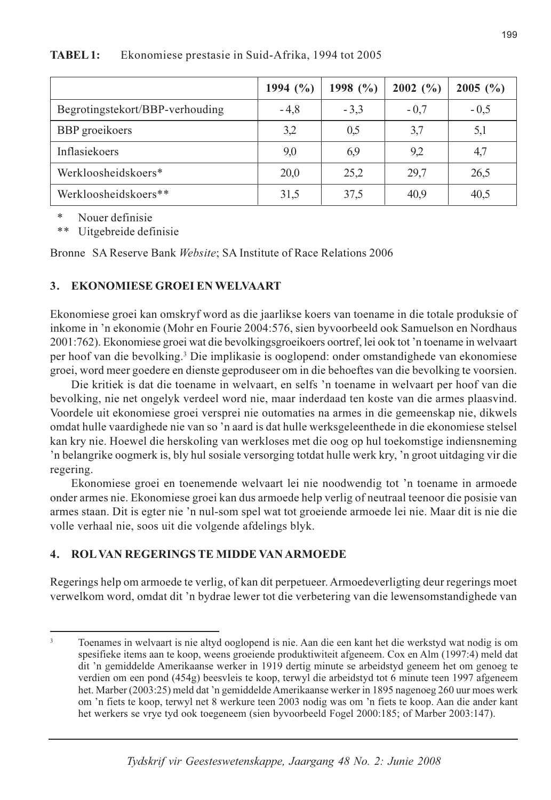|                                 | 1994 $(\% )$ | 1998 $(\% )$ | $2002~(^{o}/_{o})$ | 2005 $($ %) |
|---------------------------------|--------------|--------------|--------------------|-------------|
| Begrotingstekort/BBP-verhouding | $-4,8$       | $-3.3$       | $-0.7$             | $-0.5$      |
| <b>BBP</b> groeikoers           | 3,2          | 0.5          | 3,7                | 5,1         |
| Inflasiekoers                   | 9,0          | 6.9          | 9,2                | 4,7         |
| Werkloosheidskoers*             | 20,0         | 25,2         | 29,7               | 26,5        |
| Werkloosheidskoers**            | 31,5         | 37,5         | 40,9               | 40,5        |

**TABEL 1:** Ekonomiese prestasie in Suid-Afrika, 1994 tot 2005

 $\ast$ Nouer definisie

 $\ast\ast$ Uitgebreide definisie

Bronne SA Reserve Bank Website; SA Institute of Race Relations 2006

#### $3<sub>1</sub>$ **EKONOMIESE GROEI EN WELVAART**

Ekonomiese groei kan omskryf word as die jaarlikse koers van toename in die totale produksie of inkome in 'n ekonomie (Mohr en Fourie 2004:576, sien byvoorbeeld ook Samuelson en Nordhaus 2001:762). Ekonomiese groei wat die bevolkingsgroeikoers oortref, lei ook tot 'n toename in welvaart per hoof van die bevolking.<sup>3</sup> Die implikasie is ooglopend: onder omstandighede van ekonomiese groei, word meer goedere en dienste geproduseer om in die behoeftes van die bevolking te voorsien.

Die kritiek is dat die toename in welvaart, en selfs 'n toename in welvaart per hoof van die bevolking, nie net ongelyk verdeel word nie, maar inderdaad ten koste van die armes plaasvind. Voordele uit ekonomiese groei versprei nie outomaties na armes in die gemeenskap nie, dikwels omdat hulle vaardighede nie van so 'n aard is dat hulle werksgeleenthede in die ekonomiese stelsel kan kry nie. Hoewel die herskoling van werkloses met die oog op hul toekomstige indiensneming 'n belangrike oogmerk is, bly hul sosiale versorging totdat hulle werk kry, 'n groot uitdaging vir die regering.

Ekonomiese groei en toenemende welvaart lei nie noodwendig tot 'n toename in armoede onder armes nie. Ekonomiese groei kan dus armoede help verlig of neutraal teenoor die posisie van armes staan. Dit is egter nie 'n nul-som spel wat tot groeiende armoede lei nie. Maar dit is nie die volle verhaal nie, soos uit die volgende afdelings blyk.

#### **ROL VAN REGERINGS TE MIDDE VAN ARMOEDE**  $\mathbf{A}$

Regerings help om armoede te verlig, of kan dit perpetueer. Armoedeverligting deur regerings moet verwelkom word, omdat dit 'n bydrae lewer tot die verbetering van die lewensomstandighede van

Toenames in welvaart is nie altyd ooglopend is nie. Aan die een kant het die werkstyd wat nodig is om spesifieke items aan te koop, weens groeiende produktiwiteit afgeneem. Cox en Alm (1997:4) meld dat dit 'n gemiddelde Amerikaanse werker in 1919 dertig minute se arbeidstyd geneem het om genoeg te verdien om een pond (454g) beesvleis te koop, terwyl die arbeidstyd tot 6 minute teen 1997 afgeneem het. Marber (2003:25) meld dat 'n gemiddelde Amerikaanse werker in 1895 nagenoeg 260 uur moes werk om 'n fiets te koop, terwyl net 8 werkure teen 2003 nodig was om 'n fiets te koop. Aan die ander kant het werkers se vrye tyd ook toegeneem (sien byvoorbeeld Fogel 2000:185; of Marber 2003:147).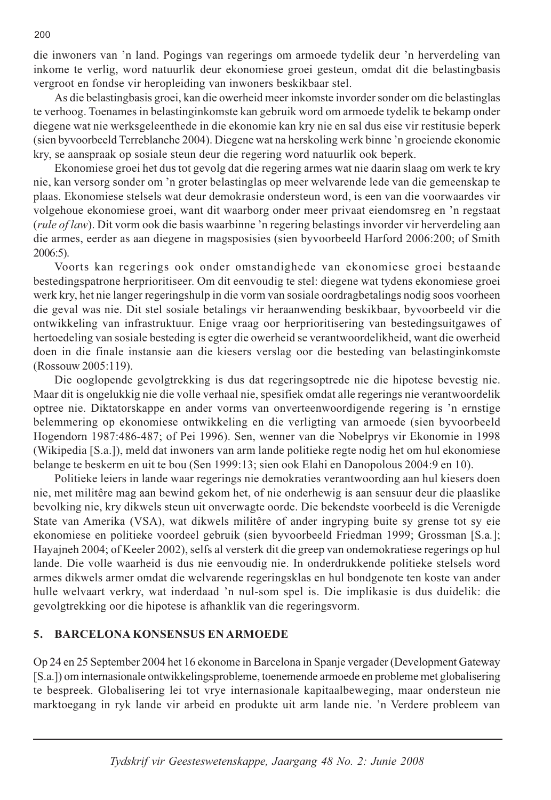die inwoners van 'n land. Pogings van regerings om armoede tydelik deur 'n herverdeling van inkome te verlig, word natuurlik deur ekonomiese groei gesteun, omdat dit die belastingbasis vergroot en fondse vir heropleiding van inwoners beskikbaar stel.

As die belastingbasis groei, kan die owerheid meer inkomste invorder sonder om die belastinglas te verhoog. Toenames in belastinginkomste kan gebruik word om armoede tydelik te bekamp onder diegene wat nie werksgeleenthede in die ekonomie kan kry nie en sal dus eise vir restitusie beperk (sien byvoorbeeld Terreblanche 2004). Diegene wat na herskoling werk binne 'n groeiende ekonomie kry, se aanspraak op sosiale steun deur die regering word natuurlik ook beperk.

Ekonomiese groei het dus tot gevolg dat die regering armes wat nie daarin slaag om werk te kry nie, kan versorg sonder om 'n groter belastinglas op meer welvarende lede van die gemeenskap te plaas. Ekonomiese stelsels wat deur demokrasie ondersteun word, is een van die voorwaardes vir volgehoue ekonomiese groei, want dit waarborg onder meer privaat eiendomsreg en 'n regstaat (rule of law). Dit vorm ook die basis waarbinne 'n regering belastings invorder vir herverdeling aan die armes, eerder as aan diegene in magsposisies (sien byvoorbeeld Harford 2006:200; of Smith  $2006:5$ ).

Voorts kan regerings ook onder omstandighede van ekonomiese groei bestaande bestedingspatrone herprioritiseer. Om dit eenvoudig te stel: diegene wat tydens ekonomiese groei werk kry, het nie langer regeringshulp in die vorm van sosiale oordragbetalings nodig soos voorheen die geval was nie. Dit stel sosiale betalings vir heraanwending beskikbaar, byvoorbeeld vir die ontwikkeling van infrastruktuur. Enige vraag oor herprioritisering van bestedingsuitgawes of hertoedeling van sosiale besteding is egter die owerheid se verantwoordelikheid, want die owerheid doen in die finale instansie aan die kiesers verslag oor die besteding van belastinginkomste (Rossouw 2005:119).

Die ooglopende gevolgtrekking is dus dat regeringsoptrede nie die hipotese bevestig nie. Maar dit is ongelukkig nie die volle verhaal nie, spesifiek omdat alle regerings nie verantwoordelik optree nie. Diktatorskappe en ander vorms van onverteenwoordigende regering is 'n ernstige belemmering op ekonomiese ontwikkeling en die verligting van armoede (sien byvoorbeeld Hogendorn 1987:486-487; of Pei 1996). Sen, wenner van die Nobelprys vir Ekonomie in 1998 (Wikipedia [S.a.]), meld dat inwoners van arm lande politieke regte nodig het om hul ekonomiese belange te beskerm en uit te bou (Sen 1999:13; sien ook Elahi en Danopolous 2004:9 en 10).

Politieke leiers in lande waar regerings nie demokraties verantwoording aan hul kiesers doen nie, met militêre mag aan bewind gekom het, of nie onderhewig is aan sensuur deur die plaaslike bevolking nie, kry dikwels steun uit onverwagte oorde. Die bekendste voorbeeld is die Verenigde State van Amerika (VSA), wat dikwels militêre of ander ingryping buite sy grense tot sy eie ekonomiese en politieke voordeel gebruik (sien byvoorbeeld Friedman 1999; Grossman [S.a.]; Hayajneh 2004; of Keeler 2002), selfs al versterk dit die greep van ondemokratiese regerings op hul lande. Die volle waarheid is dus nie eenvoudig nie. In onderdrukkende politieke stelsels word armes dikwels armer omdat die welvarende regeringsklas en hul bondgenote ten koste van ander hulle welvaart verkry, wat inderdaad 'n nul-som spel is. Die implikasie is dus duidelik: die gevolgtrekking oor die hipotese is afhanklik van die regeringsvorm.

#### **BARCELONA KONSENSUS EN ARMOEDE** 5.

Op 24 en 25 September 2004 het 16 ekonome in Barcelona in Spanje vergader (Development Gateway [S.a.]) om internasionale ontwikkelingsprobleme, toenemende armoede en probleme met globalisering te bespreek. Globalisering lei tot vrye internasionale kapitaalbeweging, maar ondersteun nie marktoegang in ryk lande vir arbeid en produkte uit arm lande nie. 'n Verdere probleem van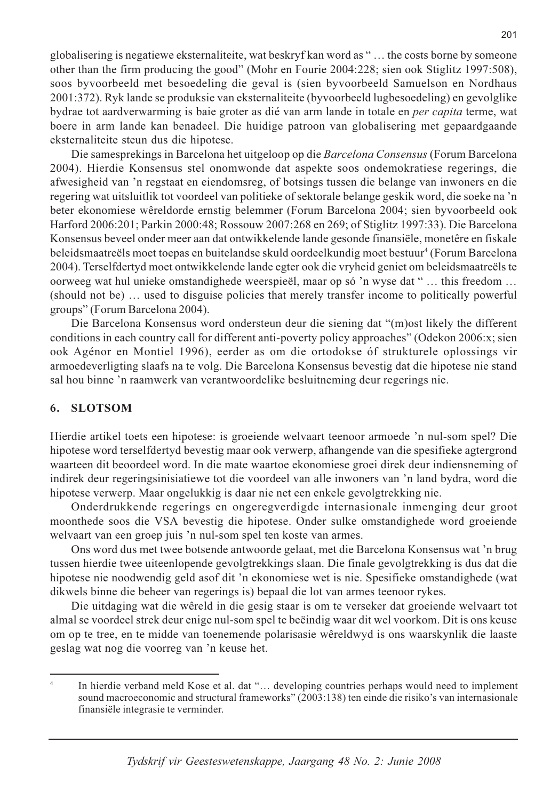globalisering is negatiewe eksternaliteite, wat beskryf kan word as "... the costs borne by someone other than the firm producing the good" (Mohr en Fourie 2004:228; sien ook Stiglitz 1997:508), soos byvoorbeeld met besoedeling die geval is (sien byvoorbeeld Samuelson en Nordhaus 2001:372). Ryk lande se produksie van eksternaliteite (byvoorbeeld lugbesoedeling) en gevolglike bydrae tot aardverwarming is baie groter as dié van arm lande in totale en *per capita* terme, wat boere in arm lande kan benadeel. Die huidige patroon van globalisering met gepaardgaande eksternaliteite steun dus die hipotese.

Die samesprekings in Barcelona het uitgeloop op die Barcelona Consensus (Forum Barcelona 2004). Hierdie Konsensus stel onomwonde dat aspekte soos ondemokratiese regerings, die afwesigheid van 'n regstaat en eiendomsreg, of botsings tussen die belange van inwoners en die regering wat uitsluitlik tot voordeel van politieke of sektorale belange geskik word, die soeke na 'n beter ekonomiese wêreldorde ernstig belemmer (Forum Barcelona 2004; sien byvoorbeeld ook Harford 2006:201; Parkin 2000:48; Rossouw 2007:268 en 269; of Stiglitz 1997:33). Die Barcelona Konsensus beveel onder meer aan dat ontwikkelende lande gesonde finansiële, monetêre en fiskale beleidsmaatreëls moet toepas en buitelandse skuld oordeelkundig moet bestuur<sup>4</sup> (Forum Barcelona 2004). Terselfdertyd moet ontwikkelende lande egter ook die vryheid geniet om beleidsmaatreëls te oorweeg wat hul unieke omstandighede weerspieël, maar op só 'n wyse dat " ... this freedom ... (should not be) ... used to disguise policies that merely transfer income to politically powerful groups" (Forum Barcelona 2004).

Die Barcelona Konsensus word ondersteun deur die siening dat "(m) ost likely the different conditions in each country call for different anti-poverty policy approaches" (Odekon 2006:x; sien ook Agénor en Montiel 1996), eerder as om die ortodokse óf strukturele oplossings vir armoedeverligting slaafs na te volg. Die Barcelona Konsensus bevestig dat die hipotese nie stand sal hou binne 'n raamwerk van verantwoordelike besluitneming deur regerings nie.

#### 6. **SLOTSOM**

Hierdie artikel toets een hipotese: is groeiende welvaart teenoor armoede 'n nul-som spel? Die hipotese word terselfdertyd bevestig maar ook verwerp, afhangende van die spesifieke agtergrond waarteen dit beoordeel word. In die mate waartoe ekonomiese groei direk deur indiensneming of indirek deur regeringsinisiatiewe tot die voordeel van alle inwoners van 'n land bydra, word die hipotese verwerp. Maar ongelukkig is daar nie net een enkele gevolgtrekking nie.

Onderdrukkende regerings en ongeregverdigde internasionale inmenging deur groot moonthede soos die VSA bevestig die hipotese. Onder sulke omstandighede word groeiende welvaart van een groep juis 'n nul-som spel ten koste van armes.

Ons word dus met twee botsende antwoorde gelaat, met die Barcelona Konsensus wat 'n brug tussen hierdie twee uiteenlopende gevolgtrekkings slaan. Die finale gevolgtrekking is dus dat die hipotese nie noodwendig geld asof dit 'n ekonomiese wet is nie. Spesifieke omstandighede (wat dikwels binne die beheer van regerings is) bepaal die lot van armes teenoor rykes.

Die uitdaging wat die wêreld in die gesig staar is om te verseker dat groeiende welvaart tot almal se voordeel strek deur enige nul-som spel te beëindig waar dit wel voorkom. Dit is ons keuse om op te tree, en te midde van toenemende polarisasie wêreldwyd is ons waarskynlik die laaste geslag wat nog die voorreg van 'n keuse het.

In hierdie verband meld Kose et al. dat "... developing countries perhaps would need to implement sound macroeconomic and structural frameworks" (2003:138) ten einde die risiko's van internasionale finansiële integrasie te verminder.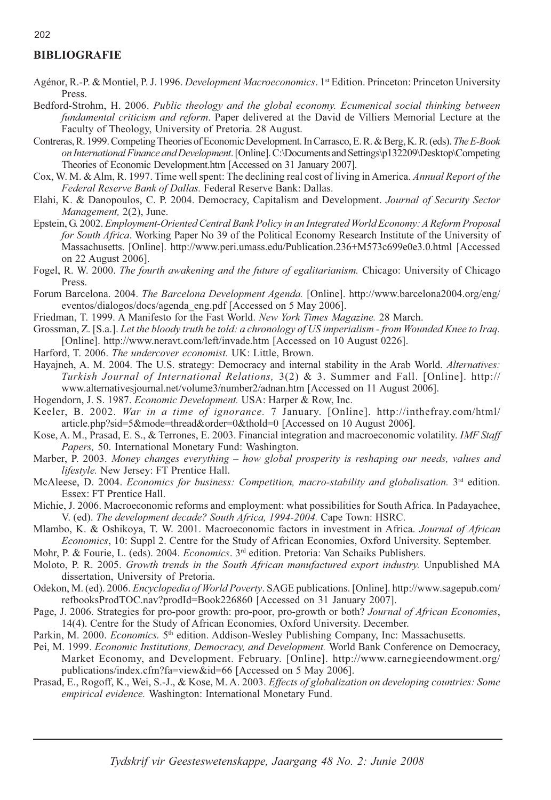### **BIBLIOGRAFIE**

- Agénor, R.-P. & Montiel, P. J. 1996. Development Macroeconomics. 1st Edition. Princeton: Princeton University Press.
- Bedford-Strohm, H. 2006. Public theology and the global economy. Ecumenical social thinking between fundamental criticism and reform. Paper delivered at the David de Villiers Memorial Lecture at the Faculty of Theology, University of Pretoria. 28 August.
- Contreras, R. 1999. Competing Theories of Economic Development. In Carrasco, E. R. & Berg, K. R. (eds). The E-Book on International Finance and Development. [Online]. C:\Documents and Settings\p132209\Desktop\Competing Theories of Economic Development.htm [Accessed on 31 January 2007].
- Cox, W. M. & Alm, R. 1997. Time well spent: The declining real cost of living in America. Annual Report of the Federal Reserve Bank of Dallas. Federal Reserve Bank: Dallas.
- Elahi, K. & Danopoulos, C. P. 2004. Democracy, Capitalism and Development. Journal of Security Sector Management, 2(2), June.
- Epstein, G. 2002. Employment-Oriented Central Bank Policy in an Integrated World Economy: A Reform Proposal for South Africa. Working Paper No 39 of the Political Economy Research Institute of the University of Massachusetts. [Online]. http://www.peri.umass.edu/Publication.236+M573c699e0e3.0.html [Accessed on 22 August 2006].
- Fogel, R. W. 2000. The fourth awakening and the future of egalitarianism. Chicago: University of Chicago Press.
- Forum Barcelona. 2004. The Barcelona Development Agenda. [Online]. http://www.barcelona2004.org/eng/ eventos/dialogos/docs/agenda\_eng.pdf [Accessed on 5 May 2006].
- Friedman, T. 1999. A Manifesto for the Fast World. New York Times Magazine. 28 March.
- Grossman, Z. [S.a.]. Let the bloody truth be told: a chronology of US imperialism from Wounded Knee to Iraq. [Online]. http://www.neravt.com/left/invade.htm [Accessed on 10 August 0226].
- Harford, T. 2006. The undercover economist. UK: Little, Brown.
- Havaineh, A. M. 2004. The U.S. strategy: Democracy and internal stability in the Arab World. Alternatives: Turkish Journal of International Relations, 3(2) & 3. Summer and Fall. [Online]. http:// www.alternativesjournal.net/volume3/number2/adnan.htm [Accessed on 11 August 2006].
- Hogendorn, J. S. 1987. Economic Development. USA: Harper & Row, Inc.
- Keeler, B. 2002. War in a time of ignorance. 7 January. [Online]. http://inthefray.com/html/ article.php?sid=5&mode=thread&order=0&thold=0 [Accessed on 10 August 2006].
- Kose, A. M., Prasad, E. S., & Terrones, E. 2003. Financial integration and macroeconomic volatility. IMF Staff Papers, 50. International Monetary Fund: Washington.
- Marber, P. 2003. Money changes everything how global prosperity is reshaping our needs, values and lifestyle. New Jersey: FT Prentice Hall.
- McAleese, D. 2004. Economics for business: Competition, macro-stability and globalisation. 3<sup>rd</sup> edition. Essex: FT Prentice Hall.
- Michie, J. 2006. Macroeconomic reforms and employment: what possibilities for South Africa. In Padayachee, V. (ed). The development decade? South Africa, 1994-2004. Cape Town: HSRC.
- Mlambo, K. & Oshikoya, T. W. 2001. Macroeconomic factors in investment in Africa. Journal of African Economics, 10: Suppl 2. Centre for the Study of African Economies, Oxford University. September.
- Mohr, P. & Fourie, L. (eds). 2004. Economics. 3<sup>rd</sup> edition. Pretoria: Van Schaiks Publishers.
- Moloto, P. R. 2005. Growth trends in the South African manufactured export industry. Unpublished MA dissertation, University of Pretoria.
- Odekon, M. (ed). 2006. Encyclopedia of World Poverty. SAGE publications. [Online]. http://www.sagepub.com/ refbooksProdTOC.nav?prodId=Book226860 [Accessed on 31 January 2007].
- Page, J. 2006. Strategies for pro-poor growth: pro-poor, pro-growth or both? Journal of African Economies, 14(4). Centre for the Study of African Economies, Oxford University. December.
- Parkin, M. 2000. *Economics*. 5<sup>th</sup> edition. Addison-Wesley Publishing Company, Inc: Massachusetts.
- Pei, M. 1999. Economic Institutions, Democracy, and Development. World Bank Conference on Democracy, Market Economy, and Development. February. [Online]. http://www.carnegieendowment.org/ publications/index.cfm?fa=view&id=66 [Accessed on 5 May 2006].
- Prasad, E., Rogoff, K., Wei, S.-J., & Kose, M. A. 2003. Effects of globalization on developing countries: Some empirical evidence. Washington: International Monetary Fund.